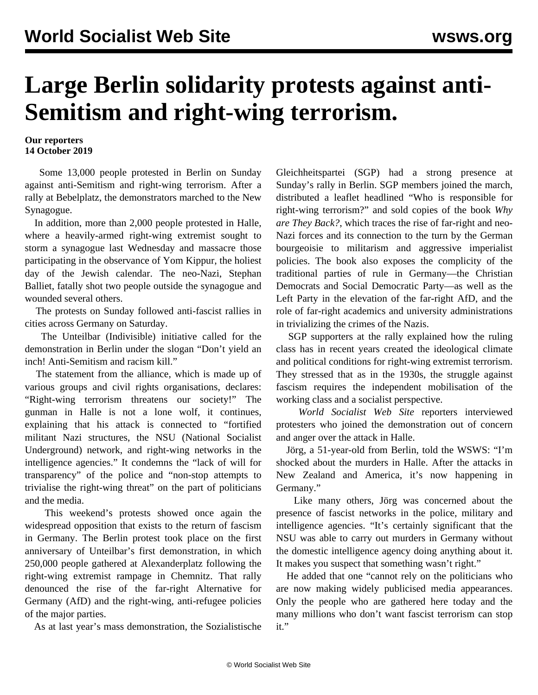## **Large Berlin solidarity protests against anti-Semitism and right-wing terrorism.**

## **Our reporters 14 October 2019**

 Some 13,000 people protested in Berlin on Sunday against anti-Semitism and right-wing terrorism. After a rally at Bebelplatz, the demonstrators marched to the New Synagogue.

 In addition, more than 2,000 people protested in Halle, where a heavily-armed right-wing extremist sought to storm a synagogue last Wednesday and massacre those participating in the observance of Yom Kippur, the holiest day of the Jewish calendar. The neo-Nazi, Stephan Balliet, fatally shot two people outside the synagogue and wounded several others.

 The protests on Sunday followed anti-fascist rallies in cities across Germany on Saturday.

 The Unteilbar (Indivisible) initiative called for the demonstration in Berlin under the slogan "Don't yield an inch! Anti-Semitism and racism kill."

 The statement from the alliance, which is made up of various groups and civil rights organisations, declares: "Right-wing terrorism threatens our society!" The gunman in Halle is not a lone wolf, it continues, explaining that his attack is connected to "fortified militant Nazi structures, the NSU (National Socialist Underground) network, and right-wing networks in the intelligence agencies." It condemns the "lack of will for transparency" of the police and "non-stop attempts to trivialise the right-wing threat" on the part of politicians and the media.

 This weekend's protests showed once again the widespread opposition that exists to the return of fascism in Germany. The Berlin protest took place on the first anniversary of Unteilbar's first demonstration, in which 250,000 people gathered at Alexanderplatz following the right-wing extremist rampage in Chemnitz. That rally denounced the rise of the far-right Alternative for Germany (AfD) and the right-wing, anti-refugee policies of the major parties.

As at last year's mass demonstration, the Sozialistische

Gleichheitspartei (SGP) had a strong presence at Sunday's rally in Berlin. SGP members joined the march, distributed a leaflet headlined "Who is responsible for right-wing terrorism?" and sold copies of the book *Why are They Back?*, which traces the rise of far-right and neo-Nazi forces and its connection to the turn by the German bourgeoisie to militarism and aggressive imperialist policies. The book also exposes the complicity of the traditional parties of rule in Germany—the Christian Democrats and Social Democratic Party—as well as the Left Party in the elevation of the far-right AfD, and the role of far-right academics and university administrations in trivializing the crimes of the Nazis.

 SGP supporters at the rally explained how the ruling class has in recent years created the ideological climate and political conditions for right-wing extremist terrorism. They stressed that as in the 1930s, the struggle against fascism requires the independent mobilisation of the working class and a socialist perspective.

 *World Socialist Web Site* reporters interviewed protesters who joined the demonstration out of concern and anger over the attack in Halle.

 Jörg, a 51-year-old from Berlin, told the WSWS: "I'm shocked about the murders in Halle. After the attacks in New Zealand and America, it's now happening in Germany."

 Like many others, Jörg was concerned about the presence of fascist networks in the police, military and intelligence agencies. "It's certainly significant that the NSU was able to carry out murders in Germany without the domestic intelligence agency doing anything about it. It makes you suspect that something wasn't right."

 He added that one "cannot rely on the politicians who are now making widely publicised media appearances. Only the people who are gathered here today and the many millions who don't want fascist terrorism can stop it."